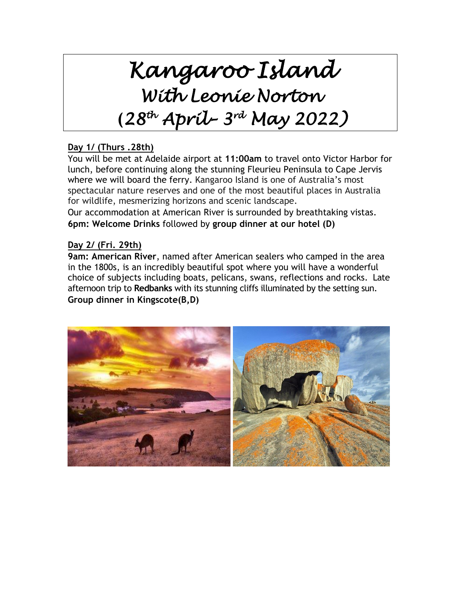# *Kangaroo Island With Leonie Norton* **(***28 th April– 3 rd May 2022)*

# **Day 1/ (Thurs .28th)**

You will be met at Adelaide airport at **11:00am** to travel onto Victor Harbor for lunch, before continuing along the stunning Fleurieu Peninsula to Cape Jervis where we will board the ferry. Kangaroo Island is one of Australia's most spectacular nature reserves and one of the most beautiful places in Australia for wildlife, mesmerizing horizons and scenic landscape.

Our accommodation at American River is surrounded by breathtaking vistas. **6pm: Welcome Drinks** followed by **group dinner at our hotel (D)**

# **Day 2/ (Fri. 29th)**

**9am: American River**, named after American sealers who camped in the area in the 1800s, is an incredibly beautiful spot where you will have a wonderful choice of subjects including boats, pelicans, swans, reflections and rocks. Late afternoon trip to **Redbanks** with its stunning cliffs illuminated by the setting sun. **Group dinner in Kingscote(B,D)**

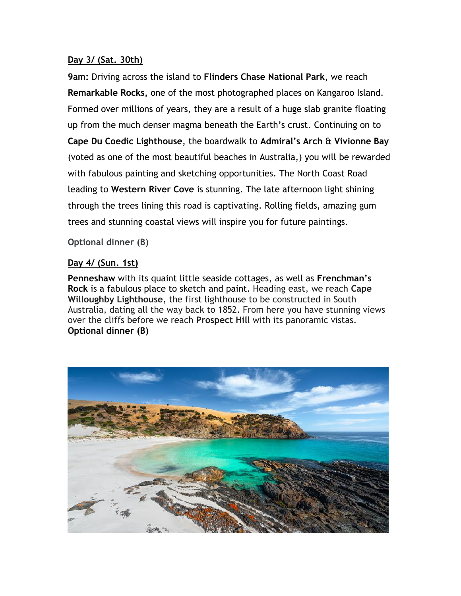#### **Day 3/ (Sat. 30th)**

**9am:** Driving across the island to **Flinders Chase National Park**, we reach **Remarkable Rocks,** one of the most photographed places on Kangaroo Island. Formed over millions of years, they are a result of a huge slab granite floating up from the much denser magma beneath the Earth's crust. Continuing on to **Cape Du Coedic Lighthouse**, the boardwalk to **Admiral's Arch** & **Vivionne Bay** (voted as one of the most beautiful beaches in Australia,) you will be rewarded with fabulous painting and sketching opportunities. The North Coast Road leading to **Western River Cove** is stunning. The late afternoon light shining through the trees lining this road is captivating. Rolling fields, amazing gum trees and stunning coastal views will inspire you for future paintings.

**Optional dinner (B)**

## **Day 4/ (Sun. 1st)**

**Penneshaw** with its quaint little seaside cottages, as well as **Frenchman's Rock** is a fabulous place to sketch and paint. Heading east, we reach **Cape Willoughby Lighthouse**, the first lighthouse to be constructed in South Australia, dating all the way back to 1852. From here you have stunning views over the cliffs before we reach **Prospect Hill** with its panoramic vistas. **Optional dinner (B)**

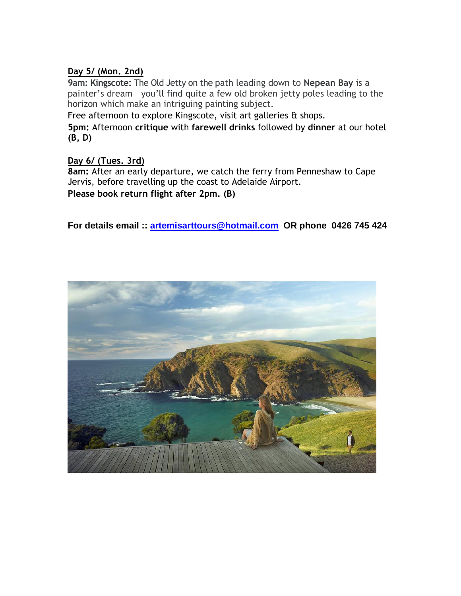# **Day 5/ (Mon. 2nd)**

**9am: Kingscote:** The Old Jetty on the path leading down to **Nepean Bay** is a painter's dream – you'll find quite a few old broken jetty poles leading to the horizon which make an intriguing painting subject.

Free afternoon to explore Kingscote, visit art galleries & shops.

**5pm:** Afternoon **critique** with **farewell drinks** followed by **dinner** at our hotel **(B, D)**

## **Day 6/ (Tues. 3rd)**

**8am:** After an early departure, we catch the ferry from Penneshaw to Cape Jervis, before travelling up the coast to Adelaide Airport. **Please book return flight after 2pm. (B)**

**For details email :: [artemisarttours@hotmail.com](mailto:artemisarttours@hotmail.com) OR phone 0426 745 424**